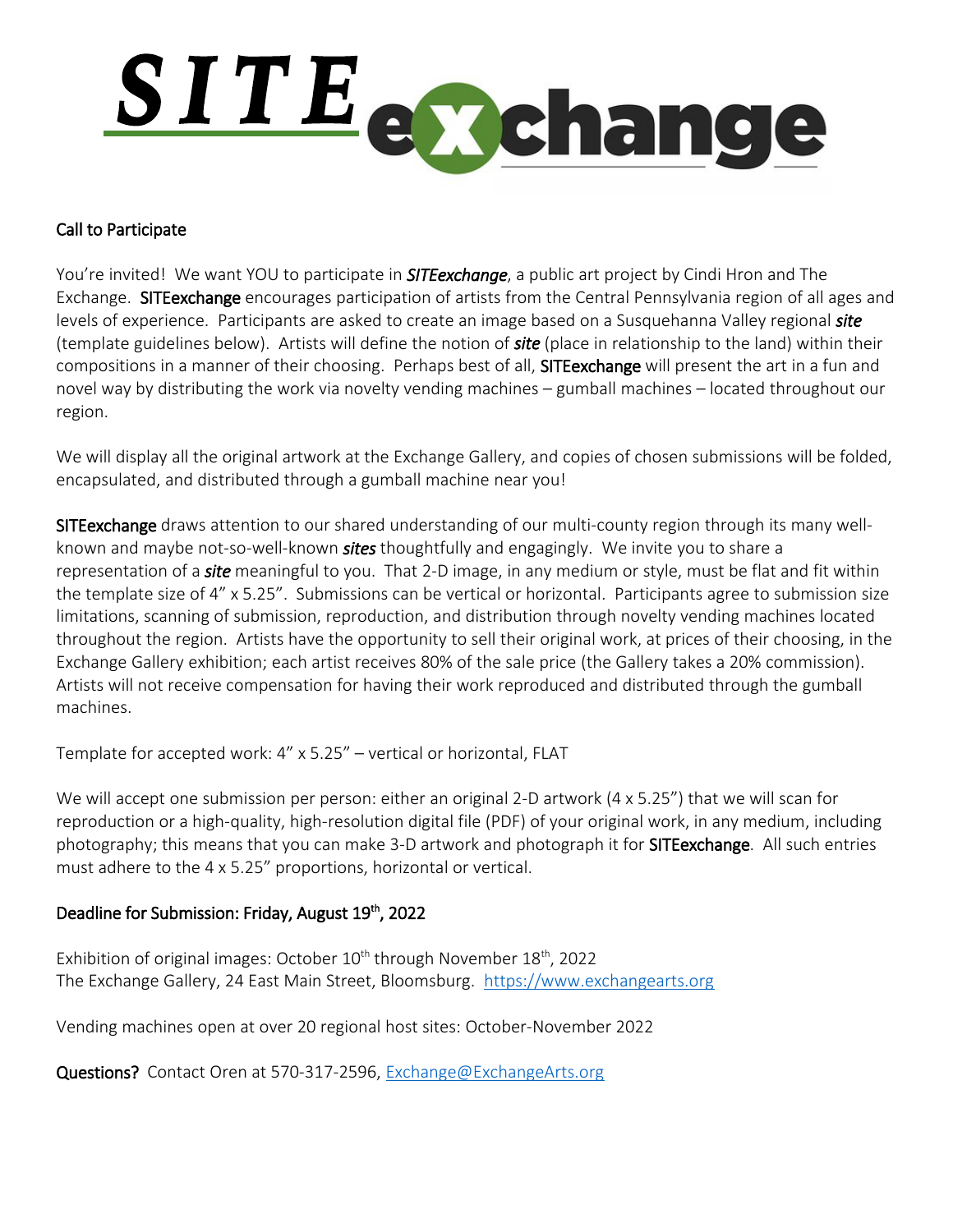

## Call to Participate

You're invited! We want YOU to participate in *SITEexchange*, a public art project by Cindi Hron and The Exchange. SITEexchange encourages participation of artists from the Central Pennsylvania region of all ages and levels of experience. Participants are asked to create an image based on a Susquehanna Valley regional *site* (template guidelines below). Artists will define the notion of *site* (place in relationship to the land) within their compositions in a manner of their choosing. Perhaps best of all, SITEexchange will present the art in a fun and novel way by distributing the work via novelty vending machines – gumball machines – located throughout our region.

We will display all the original artwork at the Exchange Gallery, and copies of chosen submissions will be folded, encapsulated, and distributed through a gumball machine near you!

SITE exchange draws attention to our shared understanding of our multi-county region through its many wellknown and maybe not-so-well-known *sites* thoughtfully and engagingly. We invite you to share a representation of a *site* meaningful to you. That 2-D image, in any medium or style, must be flat and fit within the template size of 4" x 5.25". Submissions can be vertical or horizontal. Participants agree to submission size limitations, scanning of submission, reproduction, and distribution through novelty vending machines located throughout the region. Artists have the opportunity to sell their original work, at prices of their choosing, in the Exchange Gallery exhibition; each artist receives 80% of the sale price (the Gallery takes a 20% commission). Artists will not receive compensation for having their work reproduced and distributed through the gumball machines.

Template for accepted work: 4" x 5.25" – vertical or horizontal, FLAT

We will accept one submission per person: either an original 2-D artwork (4 x 5.25") that we will scan for reproduction or a high-quality, high-resolution digital file (PDF) of your original work, in any medium, including photography; this means that you can make 3-D artwork and photograph it for SITEexchange. All such entries must adhere to the 4 x 5.25" proportions, horizontal or vertical.

## Deadline for Submission: Friday, August 19<sup>th</sup>, 2022

Exhibition of original images: October  $10^{th}$  through November  $18^{th}$ , 2022 The Exchange Gallery, 24 East Main Street, Bloomsburg. [https://www.exchangearts.org](https://www.exchangearts.org/)

Vending machines open at over 20 regional host sites: October-November 2022

Questions? Contact Oren at 570-317-2596, [Exchange@ExchangeArts.org](mailto:Exchange@ExchangeArts.org)